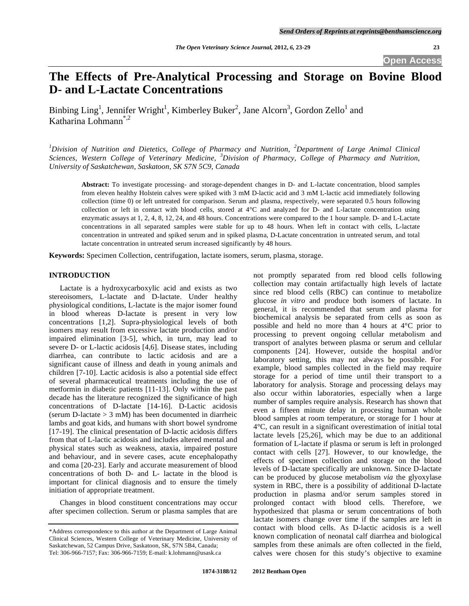# **The Effects of Pre-Analytical Processing and Storage on Bovine Blood D- and L-Lactate Concentrations**

Binbing Ling<sup>1</sup>, Jennifer Wright<sup>1</sup>, Kimberley Buker<sup>2</sup>, Jane Alcorn<sup>3</sup>, Gordon Zello<sup>1</sup> and Katharina Lohmann\*,2

*1 Division of Nutrition and Dietetics, College of Pharmacy and Nutrition, <sup>2</sup> Department of Large Animal Clinical Sciences, Western College of Veterinary Medicine, <sup>3</sup> Division of Pharmacy, College of Pharmacy and Nutrition, University of Saskatchewan, Saskatoon, SK S7N 5C9, Canada* 

**Abstract:** To investigate processing- and storage-dependent changes in D- and L-lactate concentration, blood samples from eleven healthy Holstein calves were spiked with 3 mM D-lactic acid and 3 mM L-lactic acid immediately following collection (time 0) or left untreated for comparison. Serum and plasma, respectively, were separated 0.5 hours following collection or left in contact with blood cells, stored at 4°C and analyzed for D- and L-lactate concentration using enzymatic assays at 1, 2, 4, 8, 12, 24, and 48 hours. Concentrations were compared to the 1 hour sample. D- and L-Lactate concentrations in all separated samples were stable for up to 48 hours. When left in contact with cells, L-lactate concentration in untreated and spiked serum and in spiked plasma, D-Lactate concentration in untreated serum, and total lactate concentration in untreated serum increased significantly by 48 hours.

**Keywords:** Specimen Collection, centrifugation, lactate isomers, serum, plasma, storage.

# **INTRODUCTION**

 Lactate is a hydroxycarboxylic acid and exists as two stereoisomers, L-lactate and D-lactate. Under healthy physiological conditions, L-lactate is the major isomer found in blood whereas D-lactate is present in very low concentrations [1,2]. Supra-physiological levels of both isomers may result from excessive lactate production and/or impaired elimination [3-5], which, in turn, may lead to severe D- or L-lactic acidosis [4,6]. Disease states, including diarrhea, can contribute to lactic acidosis and are a significant cause of illness and death in young animals and children [7-10]. Lactic acidosis is also a potential side effect of several pharmaceutical treatments including the use of metformin in diabetic patients [11-13]. Only within the past decade has the literature recognized the significance of high concentrations of D-lactate [14-16]. D-Lactic acidosis (serum D-lactate  $> 3$  mM) has been documented in diarrheic lambs and goat kids, and humans with short bowel syndrome [17-19]. The clinical presentation of D-lactic acidosis differs from that of L-lactic acidosis and includes altered mental and physical states such as weakness, ataxia, impaired posture and behaviour, and in severe cases, acute encephalopathy and coma [20-23]. Early and accurate measurement of blood concentrations of both D- and L- lactate in the blood is important for clinical diagnosis and to ensure the timely initiation of appropriate treatment.

 Changes in blood constituent concentrations may occur after specimen collection. Serum or plasma samples that are

not promptly separated from red blood cells following collection may contain artifactually high levels of lactate since red blood cells (RBC) can continue to metabolize glucose *in vitro* and produce both isomers of lactate. In general, it is recommended that serum and plasma for biochemical analysis be separated from cells as soon as possible and held no more than 4 hours at 4°C prior to processing to prevent ongoing cellular metabolism and transport of analytes between plasma or serum and cellular components [24]. However, outside the hospital and/or laboratory setting, this may not always be possible. For example, blood samples collected in the field may require storage for a period of time until their transport to a laboratory for analysis. Storage and processing delays may also occur within laboratories, especially when a large number of samples require analysis. Research has shown that even a fifteen minute delay in processing human whole blood samples at room temperature, or storage for 1 hour at 4°C, can result in a significant overestimation of initial total lactate levels [25,26], which may be due to an additional formation of L-lactate if plasma or serum is left in prolonged contact with cells [27]. However, to our knowledge, the effects of specimen collection and storage on the blood levels of D-lactate specifically are unknown. Since D-lactate can be produced by glucose metabolism *via* the glyoxylase system in RBC, there is a possibility of additional D-lactate production in plasma and/or serum samples stored in prolonged contact with blood cells. Therefore, we hypothesized that plasma or serum concentrations of both lactate isomers change over time if the samples are left in contact with blood cells. As D-lactic acidosis is a well known complication of neonatal calf diarrhea and biological samples from these animals are often collected in the field, calves were chosen for this study's objective to examine

<sup>\*</sup>Address correspondence to this author at the Department of Large Animal Clinical Sciences, Western College of Veterinary Medicine, University of Saskatchewan, 52 Campus Drive, Saskatoon, SK, S7N 5B4, Canada; Tel: 306-966-7157; Fax: 306-966-7159; E-mail: k.lohmann@usask.ca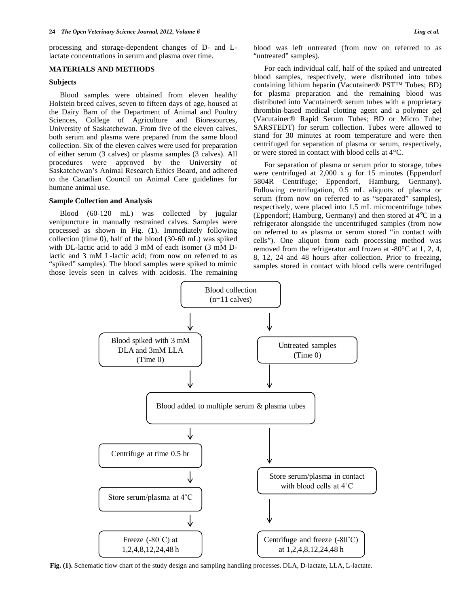processing and storage-dependent changes of D- and Llactate concentrations in serum and plasma over time.

# **MATERIALS AND METHODS**

### **Subjects**

 Blood samples were obtained from eleven healthy Holstein breed calves, seven to fifteen days of age, housed at the Dairy Barn of the Department of Animal and Poultry Sciences, College of Agriculture and Bioresources, University of Saskatchewan. From five of the eleven calves, both serum and plasma were prepared from the same blood collection. Six of the eleven calves were used for preparation of either serum (3 calves) or plasma samples (3 calves). All procedures were approved by the University of Saskatchewan's Animal Research Ethics Board, and adhered to the Canadian Council on Animal Care guidelines for humane animal use.

# **Sample Collection and Analysis**

 Blood (60-120 mL) was collected by jugular venipuncture in manually restrained calves. Samples were processed as shown in Fig. (**1**). Immediately following collection (time 0), half of the blood (30-60 mL) was spiked with DL-lactic acid to add 3 mM of each isomer (3 mM Dlactic and 3 mM L-lactic acid; from now on referred to as "spiked" samples). The blood samples were spiked to mimic those levels seen in calves with acidosis. The remaining

blood was left untreated (from now on referred to as "untreated" samples).

 For each individual calf, half of the spiked and untreated blood samples, respectively, were distributed into tubes containing lithium heparin (Vacutainer® PST™ Tubes; BD) for plasma preparation and the remaining blood was distributed into Vacutainer® serum tubes with a proprietary thrombin-based medical clotting agent and a polymer gel (Vacutainer® Rapid Serum Tubes; BD or Micro Tube; SARSTEDT) for serum collection. Tubes were allowed to stand for 30 minutes at room temperature and were then centrifuged for separation of plasma or serum, respectively, or were stored in contact with blood cells at 4°C.

 For separation of plasma or serum prior to storage, tubes were centrifuged at 2,000 x *g* for 15 minutes (Eppendorf 5804R Centrifuge; Eppendorf, Hamburg, Germany). Following centrifugation, 0.5 mL aliquots of plasma or serum (from now on referred to as "separated" samples), respectively, were placed into 1.5 mL microcentrifuge tubes (Eppendorf; Hamburg, Germany) and then stored at 4°C in a refrigerator alongside the uncentrifuged samples (from now on referred to as plasma or serum stored "in contact with cells"). One aliquot from each processing method was removed from the refrigerator and frozen at -80°C at 1, 2, 4, 8, 12, 24 and 48 hours after collection. Prior to freezing, samples stored in contact with blood cells were centrifuged



**Fig. (1).** Schematic flow chart of the study design and sampling handling processes. DLA, D-lactate, LLA, L-lactate.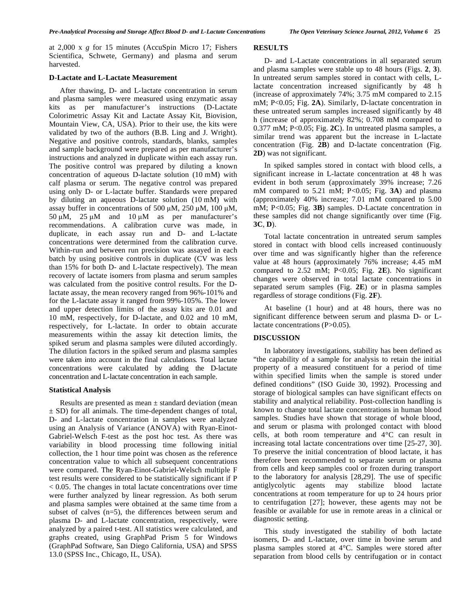at 2,000 x *g* for 15 minutes (AccuSpin Micro 17; Fishers Scientifica, Schwete, Germany) and plasma and serum harvested.

# **D-Lactate and L-Lactate Measurement**

 After thawing, D- and L-lactate concentration in serum and plasma samples were measured using enzymatic assay kits as per manufacturer's instructions (D-Lactate Colorimetric Assay Kit and Lactate Assay Kit, Biovision, Mountain View, CA, USA). Prior to their use, the kits were validated by two of the authors (B.B. Ling and J. Wright). Negative and positive controls, standards, blanks, samples and sample background were prepared as per manufacturer's instructions and analyzed in duplicate within each assay run. The positive control was prepared by diluting a known concentration of aqueous D-lactate solution (10 mM) with calf plasma or serum. The negative control was prepared using only D- or L-lactate buffer. Standards were prepared by diluting an aqueous D-lactate solution (10 mM) with assay buffer in concentrations of 500 μM, 250 μM, 100 μM, 50 μM, 25 μM and  $10 \mu$ M as per manufacturer's recommendations. A calibration curve was made, in duplicate, in each assay run and D- and L-lactate concentrations were determined from the calibration curve. Within-run and between run precision was assayed in each batch by using positive controls in duplicate (CV was less than 15% for both D- and L-lactate respectively). The mean recovery of lactate isomers from plasma and serum samples was calculated from the positive control results. For the Dlactate assay, the mean recovery ranged from 96%-101% and for the L-lactate assay it ranged from 99%-105%. The lower and upper detection limits of the assay kits are 0.01 and 10 mM, respectively, for D-lactate, and 0.02 and 10 mM, respectively, for L-lactate. In order to obtain accurate measurements within the assay kit detection limits, the spiked serum and plasma samples were diluted accordingly. The dilution factors in the spiked serum and plasma samples were taken into account in the final calculations. Total lactate concentrations were calculated by adding the D-lactate concentration and L-lactate concentration in each sample.

# **Statistical Analysis**

Results are presented as mean  $\pm$  standard deviation (mean ± SD) for all animals. The time-dependent changes of total, D- and L-lactate concentration in samples were analyzed using an Analysis of Variance (ANOVA) with Ryan-Einot-Gabriel-Welsch F-test as the post hoc test. As there was variability in blood processing time following initial collection, the 1 hour time point was chosen as the reference concentration value to which all subsequent concentrations were compared. The Ryan-Einot-Gabriel-Welsch multiple F test results were considered to be statistically significant if P < 0.05. The changes in total lactate concentrations over time were further analyzed by linear regression. As both serum and plasma samples were obtained at the same time from a subset of calves (n=5), the differences between serum and plasma D- and L-lactate concentration, respectively, were analyzed by a paired t-test. All statistics were calculated, and graphs created, using GraphPad Prism 5 for Windows (GraphPad Software, San Diego California, USA) and SPSS 13.0 (SPSS Inc., Chicago, IL, USA).

#### **RESULTS**

 D- and L-Lactate concentrations in all separated serum and plasma samples were stable up to 48 hours (Figs. **2**, **3**). In untreated serum samples stored in contact with cells, Llactate concentration increased significantly by 48 h (increase of approximately 74%; 3.75 mM compared to 2.15 mM; P<0.05; Fig. **2A**). Similarly, D-lactate concentration in these untreated serum samples increased significantly by 48 h (increase of approximately 82%; 0.708 mM compared to 0.377 mM; P<0.05; Fig. **2C**). In untreated plasma samples, a similar trend was apparent but the increase in L-lactate concentration (Fig. **2B**) and D-lactate concentration (Fig. **2D**) was not significant.

 In spiked samples stored in contact with blood cells, a significant increase in L-lactate concentration at 48 h was evident in both serum (approximately 39% increase; 7.26 mM compared to 5.21 mM; P<0.05; Fig. **3A**) and plasma (approximately 40% increase; 7.01 mM compared to 5.00 mM; P<0.05; Fig. **3B**) samples. D-Lactate concentration in these samples did not change significantly over time (Fig. **3C**, **D**).

 Total lactate concentration in untreated serum samples stored in contact with blood cells increased continuously over time and was significantly higher than the reference value at 48 hours (approximately 76% increase; 4.45 mM compared to 2.52 mM; P<0.05; Fig. **2E**). No significant changes were observed in total lactate concentrations in separated serum samples (Fig. **2E**) or in plasma samples regardless of storage conditions (Fig. **2F**).

 At baseline (1 hour) and at 48 hours, there was no significant difference between serum and plasma D- or Llactate concentrations (P>0.05).

#### **DISCUSSION**

 In laboratory investigations, stability has been defined as "the capability of a sample for analysis to retain the initial property of a measured constituent for a period of time within specified limits when the sample is stored under defined conditions" (ISO Guide 30, 1992). Processing and storage of biological samples can have significant effects on stability and analytical reliability. Post-collection handling is known to change total lactate concentrations in human blood samples. Studies have shown that storage of whole blood, and serum or plasma with prolonged contact with blood cells, at both room temperature and 4°C can result in increasing total lactate concentrations over time [25-27, 30]. To preserve the initial concentration of blood lactate, it has therefore been recommended to separate serum or plasma from cells and keep samples cool or frozen during transport to the laboratory for analysis [28,29]. The use of specific antiglycolytic agents may stabilize blood lactate concentrations at room temperature for up to 24 hours prior to centrifugation [27]; however, these agents may not be feasible or available for use in remote areas in a clinical or diagnostic setting.

 This study investigated the stability of both lactate isomers, D- and L-lactate, over time in bovine serum and plasma samples stored at 4°C. Samples were stored after separation from blood cells by centrifugation or in contact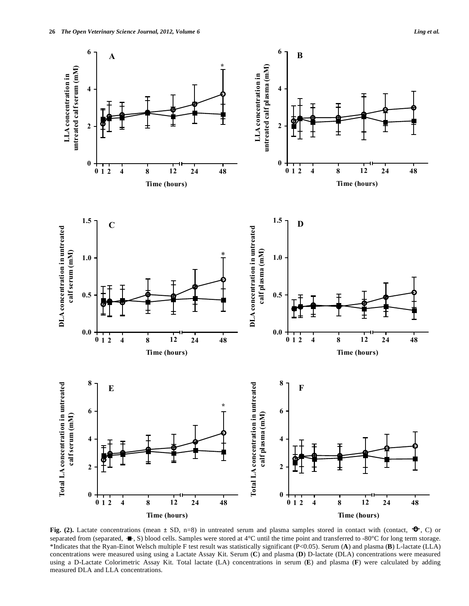

**Fig.** (2). Lactate concentrations (mean  $\pm$  SD, n=8) in untreated serum and plasma samples stored in contact with (contact,  $\rightarrow$ , C) or separated from (separated,  $\blacktriangleleft$ , S) blood cells. Samples were stored at 4°C until the time point and transferred to -80°C for long term storage. \*Indicates that the Ryan-Einot Welsch multiple F test result was statistically significant (P<0.05). Serum (**A**) and plasma (**B**) L-lactate (LLA) concentrations were measured using using a Lactate Assay Kit. Serum (**C**) and plasma (**D**) D-lactate (DLA) concentrations were measured using a D-Lactate Colorimetric Assay Kit. Total lactate (LA) concentrations in serum (**E**) and plasma (**F**) were calculated by adding measured DLA and LLA concentrations.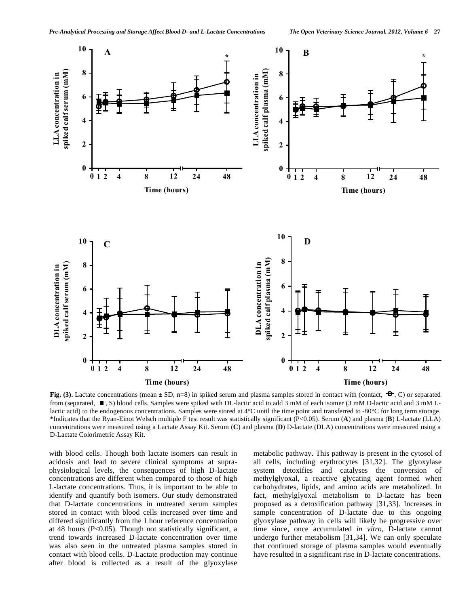

**Fig. (3).** Lactate concentrations (mean  $\pm$  SD, n=8) in spiked serum and plasma samples stored in contact with (contact,  $\rightarrow$ , C) or separated from (separated,  $\blacksquare$ , S) blood cells. Samples were spiked with DL-lactic acid to add 3 mM of each isomer (3 mM D-lactic acid and 3 mM Llactic acid) to the endogenous concentrations. Samples were stored at 4°C until the time point and transferred to -80°C for long term storage. \*Indicates that the Ryan-Einot Welsch multiple F test result was statistically significant (P<0.05). Serum (**A**) and plasma (**B**) L-lactate (LLA) concentrations were measured using a Lactate Assay Kit. Serum (**C**) and plasma (**D**) D-lactate (DLA) concentrations were measured using a D-Lactate Colorimetric Assay Kit.

with blood cells. Though both lactate isomers can result in acidosis and lead to severe clinical symptoms at supraphysiological levels, the consequences of high D-lactate concentrations are different when compared to those of high L-lactate concentrations. Thus, it is important to be able to identify and quantify both isomers. Our study demonstrated that D-lactate concentrations in untreated serum samples stored in contact with blood cells increased over time and differed significantly from the 1 hour reference concentration at 48 hours (P<0.05). Though not statistically significant, a trend towards increased D-lactate concentration over time was also seen in the untreated plasma samples stored in contact with blood cells. D-Lactate production may continue after blood is collected as a result of the glyoxylase

metabolic pathway. This pathway is present in the cytosol of all cells, including erythrocytes [31,32]. The glyoxylase system detoxifies and catalyses the conversion of methylglyoxal, a reactive glycating agent formed when carbohydrates, lipids, and amino acids are metabolized. In fact, methylglyoxal metabolism to D-lactate has been proposed as a detoxification pathway [31,33]. Increases in sample concentration of D-lactate due to this ongoing glyoxylase pathway in cells will likely be progressive over time since, once accumulated *in vitro*, D-lactate cannot undergo further metabolism [31,34]. We can only speculate that continued storage of plasma samples would eventually have resulted in a significant rise in D-lactate concentrations.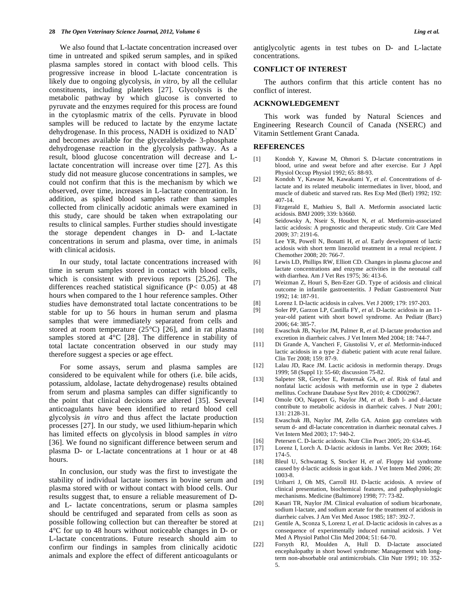We also found that L-lactate concentration increased over time in untreated and spiked serum samples, and in spiked plasma samples stored in contact with blood cells. This progressive increase in blood L-lactate concentration is likely due to ongoing glycolysis, *in vitro*, by all the cellular constituents, including platelets [27]. Glycolysis is the metabolic pathway by which glucose is converted to pyruvate and the enzymes required for this process are found in the cytoplasmic matrix of the cells. Pyruvate in blood samples will be reduced to lactate by the enzyme lactate dehydrogenase. In this process, NADH is oxidized to NAD<sup>+</sup> and becomes available for the glyceraldehyde- 3-phosphate dehydrogenase reaction in the glycolysis pathway. As a result, blood glucose concentration will decrease and Llactate concentration will increase over time [27]. As this study did not measure glucose concentrations in samples, we could not confirm that this is the mechanism by which we observed, over time, increases in L-lactate concentration. In addition, as spiked blood samples rather than samples collected from clinically acidotic animals were examined in this study, care should be taken when extrapolating our results to clinical samples. Further studies should investigate the storage dependent changes in D- and L-lactate concentrations in serum and plasma, over time, in animals with clinical acidosis.

 In our study, total lactate concentrations increased with time in serum samples stored in contact with blood cells, which is consistent with previous reports [25,26]. The differences reached statistical significance (P< 0.05) at 48 hours when compared to the 1 hour reference samples. Other studies have demonstrated total lactate concentrations to be stable for up to 56 hours in human serum and plasma samples that were immediately separated from cells and stored at room temperature (25°C) [26], and in rat plasma samples stored at 4°C [28]. The difference in stability of total lactate concentration observed in our study may therefore suggest a species or age effect.

 For some assays, serum and plasma samples are considered to be equivalent while for others (i.e. bile acids, potassium, aldolase, lactate dehydrogenase) results obtained from serum and plasma samples can differ significantly to the point that clinical decisions are altered [35]. Several anticoagulants have been identified to retard blood cell glycolysis *in vitro* and thus affect the lactate production processes [27]. In our study, we used lithium-heparin which has limited effects on glycolysis in blood samples *in vitro* [36]. We found no significant difference between serum and plasma D- or L-lactate concentrations at 1 hour or at 48 hours.

 In conclusion, our study was the first to investigate the stability of individual lactate isomers in bovine serum and plasma stored with or without contact with blood cells. Our results suggest that, to ensure a reliable measurement of Dand L- lactate concentrations, serum or plasma samples should be centrifuged and separated from cells as soon as possible following collection but can thereafter be stored at 4°C for up to 48 hours without noticeable changes in D- or L-lactate concentrations. Future research should aim to confirm our findings in samples from clinically acidotic animals and explore the effect of different anticoagulants or

antiglycolytic agents in test tubes on D- and L-lactate concentrations.

# **CONFLICT OF INTEREST**

 The authors confirm that this article content has no conflict of interest.

# **ACKNOWLEDGEMENT**

 This work was funded by Natural Sciences and Engineering Research Council of Canada (NSERC) and Vitamin Settlement Grant Canada.

### **REFERENCES**

- [1] Kondoh Y, Kawase M, Ohmori S. D-lactate concentrations in blood, urine and sweat before and after exercise. Eur J Appl Physiol Occup Physiol 1992; 65: 88-93.
- [2] Kondoh Y, Kawase M, Kawakami Y, *et al*. Concentrations of dlactate and its related metabolic intermediates in liver, blood, and muscle of diabetic and starved rats. Res Exp Med (Berl) 1992; 192: 407-14.
- [3] Fitzgerald E, Mathieu S, Ball A. Metformin associated lactic acidosis. BMJ 2009; 339: b3660.
- [4] Seidowsky A, Nseir S, Houdret N, *et al*. Metformin-associated lactic acidosis: A prognostic and therapeutic study. Crit Care Med 2009; 37: 2191-6.
- [5] Lee YR, Powell N, Bonatti H, *et al*. Early development of lactic acidosis with short term linezolid treatment in a renal recipient. J Chemother 2008; 20: 766-7.
- [6] Lewis LD, Phillips RW, Elliott CD. Changes in plasma glucose and lactate concentrations and enzyme activities in the neonatal calf with diarrhea. Am J Vet Res 1975; 36: 413-6.
- [7] Weizman Z, Houri S, Ben-Ezer GD. Type of acidosis and clinical outcome in infantile gastroenteritis. J Pediatr Gastroenterol Nutr 1992; 14: 187-91.
- [8] Lorenz I. D-lactic acidosis in calves. Vet J 2009; 179: 197-203.
- [9] Soler PP, Garzon LP, Castilla FY, *et al*. D-lactic acidosis in an 11 year-old patient with short bowel syndrome. An Pediatr (Barc) 2006; 64: 385-7.
- [10] Ewaschuk JB, Naylor JM, Palmer R, *et al*. D-lactate production and excretion in diarrheic calves. J Vet Intern Med 2004; 18: 744-7.
- [11] Di Grande A, Vancheri F, Giustolisi V, *et al*. Metformin-induced lactic acidosis in a type 2 diabetic patient with acute renal failure. Clin Ter 2008; 159: 87-9.
- [12] Lalau JD, Race JM. Lactic acidosis in metformin therapy. Drugs 1999; 58 (Suppl 1): 55-60; discussion 75-82.
- [13] Salpeter SR, Greyber E, Pasternak GA, *et al*. Risk of fatal and nonfatal lactic acidosis with metformin use in type 2 diabetes mellitus. Cochrane Database Syst Rev 2010; 4: CD002967.
- [14] Omole OO, Nappert G, Naylor JM, *et al*. Both l- and d-lactate contribute to metabolic acidosis in diarrheic calves. J Nutr 2001; 131: 2128-31.
- [15] Ewaschuk JB, Naylor JM, Zello GA. Anion gap correlates with serum d- and dl-lactate concentration in diarrheic neonatal calves. J Vet Intern Med 2003; 17: 940-2.
- [16] Petersen C. D-lactic acidosis. Nutr Clin Pract 2005; 20: 634-45.
- [17] Lorenz I, Lorch A. D-lactic acidosis in lambs. Vet Rec 2009; 164: 174-5.
- [18] Bleul U, Schwantag S, Stocker H, *et al*. Floppy kid syndrome caused by d-lactic acidosis in goat kids. J Vet Intern Med 2006; 20: 1003-8.
- [19] Uribarri J, Oh MS, Carroll HJ. D-lactic acidosis. A review of clinical presentation, biochemical features, and pathophysiologic mechanisms. Medicine (Baltimore) 1998; 77: 73-82.
- [20] Kasari TR, Naylor JM. Clinical evaluation of sodium bicarbonate, sodium l-lactate, and sodium acetate for the treatment of acidosis in diarrheic calves. J Am Vet Med Assoc 1985; 187: 392-7.
- [21] Gentile A, Sconza S, Lorenz I, *et al*. D-lactic acidosis in calves as a consequence of experimentally induced ruminal acidosis. J Vet Med A Physiol Pathol Clin Med 2004; 51: 64-70.
- [22] Forsyth RJ, Moulden A, Hull D. D-lactate associated encephalopathy in short bowel syndrome: Management with longterm non-absorbable oral antimicrobials. Clin Nutr 1991; 10: 352- 5.